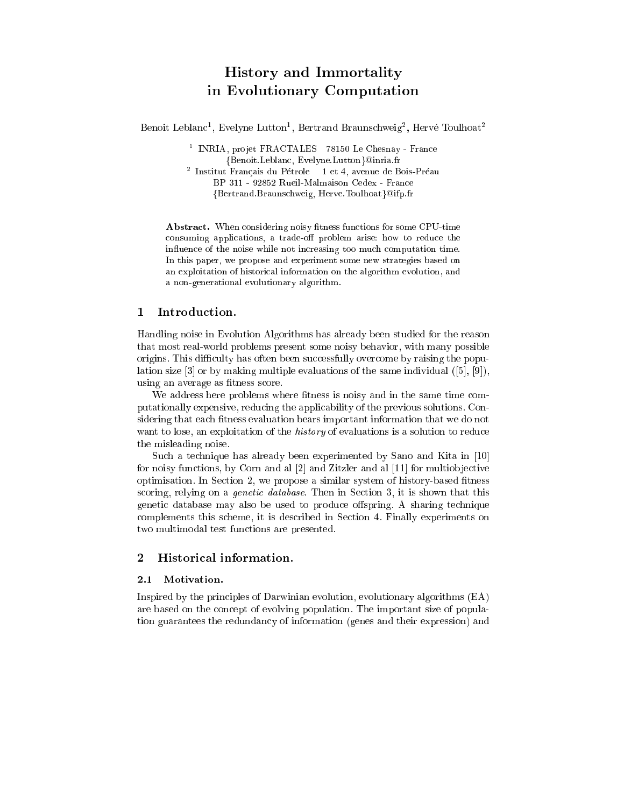# History and Immortality in Evolutionary Computation

benon Leblance, Evelyne Luttone, Bertrand Braunschweige, Herve Toumoat-

TINRIA, projet FRACTALES 78150 Le Chesnay - France {Benoit.Leblanc, Evelyne.Lutton}@inria.fr <sup>2</sup> Institut Fran
ais du Petrole 1 et 4, avenue de Bois-Preau BP 311 - 92852 Rueil-Malmaison Cedex - Fran
e {Bertrand.Braunschweig, Herve.Toulhoat}@ifp.fr

Abstract. When considering noisy fitness functions for some CPU-time consuming applications, a trade-off problem arise: how to reduce the influence of the noise while not increasing too much computation time. In this paper, we propose and experiment some new strategies based on an exploitation of historical information on the algorithm evolution, and a non-generational evolutionary algorithm.

#### 1 Introduction.

Handling noise in Evolution Algorithms has already been studied for the reason that most real-world problems present some noisy behavior, with many possible origins. This difficulty has often been successfully overcome by raising the population size  $[3]$  or by making multiple evaluations of the same individual  $([5], [9])$ , using an average as fitness score.

We address here problems where fitness is noisy and in the same time computationally expensive, reducing the applicability of the previous solutions. Considering that each fitness evaluation bears important information that we do not want to lose, an exploitation of the *history* of evaluations is a solution to reduce the misleading noise.

Such a technique has already been experimented by Sano and Kita in [10] for noisy functions, by Corn and al  $[2]$  and Zitzler and al  $[11]$  for multiobjective optimisation. In Section 2, we propose a similar system of history-based fitness scoring, relying on a *genetic database*. Then in Section 3, it is shown that this genetic database may also be used to produce offspring. A sharing technique omplements this s
heme, it is des
ribed in Se
tion 4. Finally experiments on two multimodal test fun
tions are presented.

#### $\overline{2}$ Historical information.

#### 2.1 Motivation.

Inspired by the principles of Darwinian evolution, evolutionary algorithms  $(EA)$ are based on the concept of evolving population. The important size of population guarantees the redundan
y of information (genes and their expression) and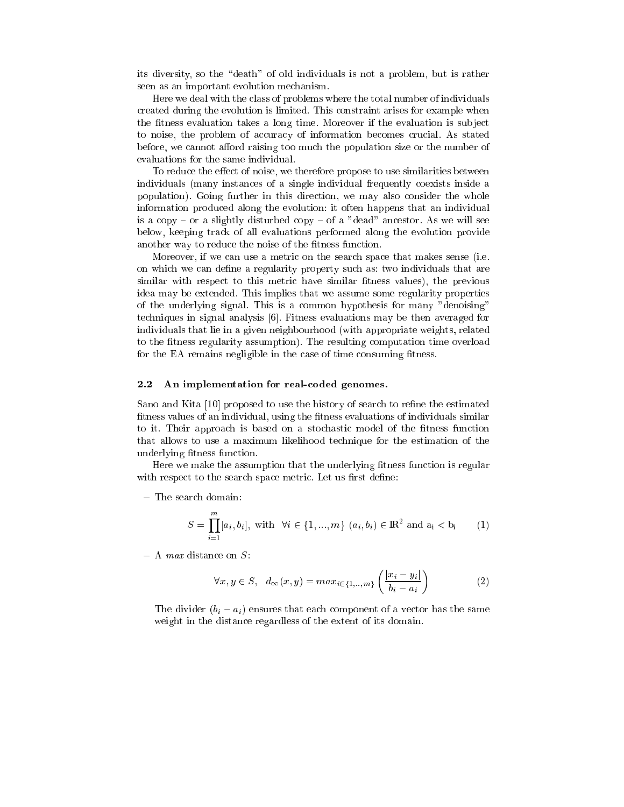its diversity, so the "death" of old individuals is not a problem, but is rather seen as an important evolution me
hanism.

Here we deal with the lass of problems where the total number of individuals reated during the evolution is limited. This onstraint arises for example when the fitness evaluation takes a long time. Moreover if the evaluation is subject to noise, the problem of accuracy of information becomes crucial. As stated before, we cannot afford raising too much the population size or the number of evaluations for the same individual.

To reduce the effect of noise, we therefore propose to use similarities between individuals (many instan
es of a single individual frequently oexists inside a population). Going further in this dire
tion, we may also onsider the whole information produ
ed along the evolution: it often happens that an individual is a copy  $-$  or a slightly disturbed copy  $-$  of a "dead" ancestor. As we will see below, keeping tra
k of all evaluations performed along the evolution provide another way to reduce the noise of the fitness function.

Moreover, if we can use a metric on the search space that makes sense (i.e. on which we can define a regularity property such as: two individuals that are similar with respect to this metric have similar fitness values), the previous idea may be extended. This implies that we assume some regularity properties of the underlying signal. This is a ommon hypothesis for many "denoising" techniques in signal analysis [6]. Fitness evaluations may be then averaged for individuals that lie in a given neighbourhood (with appropriate weights, related to the fitness regularity assumption). The resulting computation time overload for the EA remains negligible in the case of time consuming fitness.

#### 2.2 An implementation for realoded genomes.

Sano and Kita [10] proposed to use the history of search to refine the estimated fitness values of an individual, using the fitness evaluations of individuals similar to it. Their approach is based on a stochastic model of the fitness function that allows to use a maximum likelihood te
hnique for the estimation of the underlying fitness function.

Here we make the assumption that the underlying fitness function is regular with respect to the search space metric. Let us first define:

{ The sear
h domain:

$$
S = \prod_{i=1}^{m} [a_i, b_i], \text{ with } \forall i \in \{1, ..., m\} \ (a_i, b_i) \in \mathbb{R}^2 \text{ and } a_i < b_i \tag{1}
$$

 $- A$  max distance on S:

$$
\forall x, y \in S, \quad d_{\infty}(x, y) = max_{i \in \{1, \dots, m\}} \left( \frac{|x_i - y_i|}{b_i - a_i} \right) \tag{2}
$$

The divider  $(b_i - a_i)$  ensures that each component of a vector has the same weight in the distan
e regardless of the extent of its domain.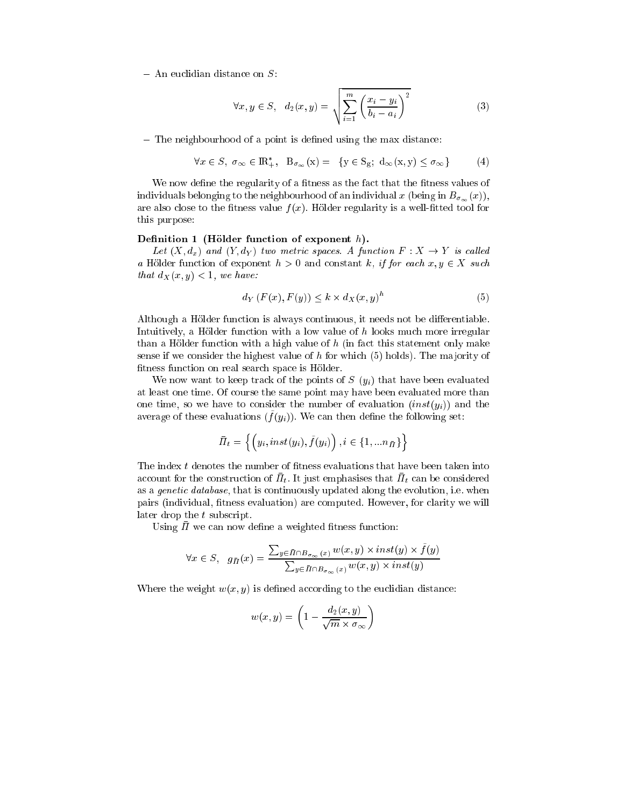$-$  An euclidian distance on  $S$ :

$$
\forall x, y \in S, \ d_2(x, y) = \sqrt{\sum_{i=1}^{m} \left( \frac{x_i - y_i}{b_i - a_i} \right)^2}
$$
(3)

- The neighbourhood of a point is defined using the max distance:

$$
\forall x \in S, \ \sigma_{\infty} \in \mathbb{R}_+^*, \ \mathcal{B}_{\sigma_{\infty}}(x) = \{ y \in S_g; \ d_{\infty}(x, y) \le \sigma_{\infty} \}
$$
 (4)

<sup>v</sup>

We now define the regularity of a fitness as the fact that the fitness values of individuals belonging to the neighbourhood of an individual x (being in  $B_{\sigma_{\infty}}(x)$ ), are also close to the fitness value  $f(x)$ . Hölder regularity is a well-fitted tool for this purpose:

#### Definition 1 (Hölder function of exponent  $h$ ).

Let  $(X, d_x)$  and  $(Y, d_Y)$  two metric spaces. A function  $F: X \to Y$  is called a Hölder function of exponent  $h > 0$  and constant k, if for each  $x, y \in X$  such that  $d_X(x, y) < 1$ , we have:

$$
d_Y(F(x), F(y)) < k \times d_X(x, y)^h \tag{5}
$$

Although a Hölder function is always continuous, it needs not be differentiable. Intuitively, a Hölder function with a low value of  $h$  looks much more irregular than a Hölder function with a high value of  $h$  (in fact this statement only make sense if we consider the highest value of  $h$  for which  $(5)$  holds). The majority of fitness function on real search space is Hölder.

We now want to keep track of the points of  $S(y_i)$  that have been evaluated at least one time. Of ourse the same point may have been evaluated more than one time, so we have to consider the number of evaluation  $(inst(y_i))$  and the average of these evaluations  $(f(y_i))$ . We can then define the following set.

$$
\bar{\Pi}_t = \left\{ \left( y_i, inst(y_i), \tilde{f}(y_i) \right), i \in \{1, \dots n_{\bar{\Pi}}\} \right\}
$$

The index  $t$  denotes the number of fitness evaluations that have been taken into account for the construction of  $H_t$ . It just emphasises that  $H_t$  can be considered as a *genetic database*, that is continuously updated along the evolution, i.e. when pairs (individual, fitness evaluation) are computed. However, for clarity we will later drop the <sup>t</sup> subs
ript.

Using  $\Pi$  we can now define a weighted fitness function:

$$
\forall x \in S, \quad g_{\bar{H}}(x) = \frac{\sum_{y \in \bar{H} \cap B_{\sigma_{\infty}}(x)} w(x, y) \times inst(y) \times \tilde{f}(y)}{\sum_{y \in \bar{H} \cap B_{\sigma_{\infty}}(x)} w(x, y) \times inst(y)}
$$

Where the weight  $w(x, y)$  is defined according to the euclidian distance:

$$
w(x,y) = \left(1 - \frac{d_2(x,y)}{\sqrt{m} \times \sigma_{\infty}}\right)
$$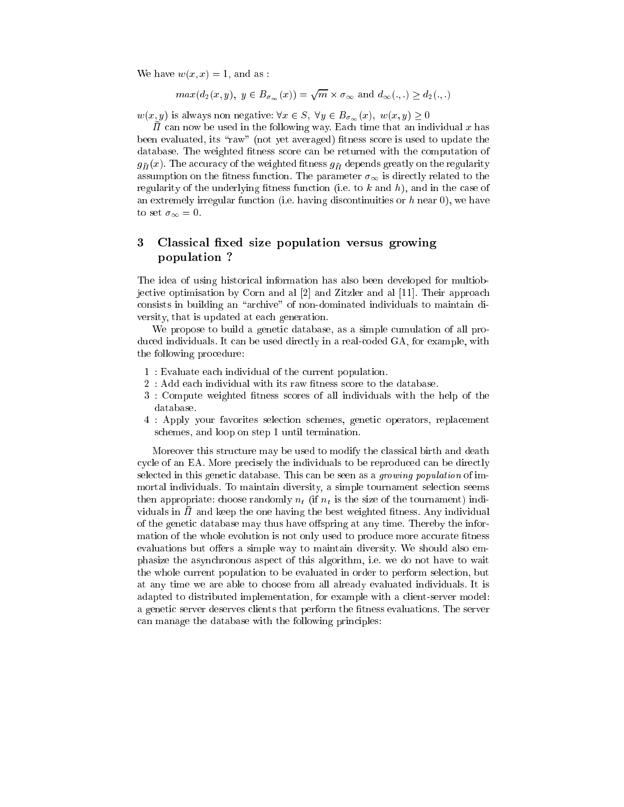We have  $w(x, x) = 1$ , and as:

$$
max(d_2(x, y), y \in B_{\sigma_{\infty}}(x)) = \sqrt{m} \times \sigma_{\infty} \text{ and } d_{\infty}(.,.) \ge d_2(.,.)
$$

 $w(x, y)$  is always non negative:  $\forall x \in S, \ \forall y \in B_{\sigma_{\infty}}(x), \ w(x, y) \geq 0$ 

 $\mu$  can now be used in the following way. Each time that an individual  $x$  has been evaluated, its "raw" (not yet averaged) fitness score is used to update the database. The weighted fitness score can be returned with the computation of  $g_{\bar{\Pi}}(x)$ . The accuracy of the weighted fitness  $g_{\bar{\Pi}}$  depends greatly on the regularity assumption on the the parameter in the parameter  $\mathcal{L}$  is the the parameter  $\mathcal{L}$  . The parameter  $\mathcal{L}$ regularity of the underlying fitness function (i.e. to k and h), and in the case of an extremely irregular function (i.e. having discontinuities or  $h$  near 0), we have  $t = 0.5$   $\sigma$  .

## 3 Classical fixed size population versus growing population ?

The idea of using historical information has also been developed for multiobjective optimisation by Corn and al [2] and Zitzler and al [11]. Their approach consists in building an "archive" of non-dominated individuals to maintain diversity, that is updated at ea
h generation.

We propose to build a genetic database, as a simple cumulation of all produced individuals. It can be used directly in a real-coded GA, for example, with the following pro
edure:

- 1 : Evaluate ea
h individual of the urrent population.
- 2 : Add each individual with its raw fitness score to the database.
- 3 : Compute weighted fitness scores of all individuals with the help of the database.
- 4 : Apply your favorites sele
tion s
hemes, geneti operators, repla
ement s
hemes, and loop on step 1 until termination.

Moreover this structure may be used to modify the classical birth and death cycle of an EA. More precisely the individuals to be reproduced can be directly selected in this genetic database. This can be seen as a *growing population* of immortal individuals. To maintain diversity, a simple tournament sele
tion seems then appropriate: choose randomly  $n_t$  (if  $n_t$  is the size of the tournament) individuals in and keep the one having the best weighted tness. Any individual of the genetic database may thus have offspring at any time. Thereby the information of the whole evolution is not only used to produce more accurate fitness evaluations but offers a simple way to maintain diversity. We should also emphasize the asyn
hronous aspe
t of this algorithm, i.e. we do not have to wait the whole urrent population to be evaluated in order to perform sele
tion, but at any time we are able to hoose from all already evaluated individuals. It is adapted to distributed implementation, for example with a lient-server model: a genetic server deserves clients that perform the fitness evaluations. The server can manage the database with the following principles: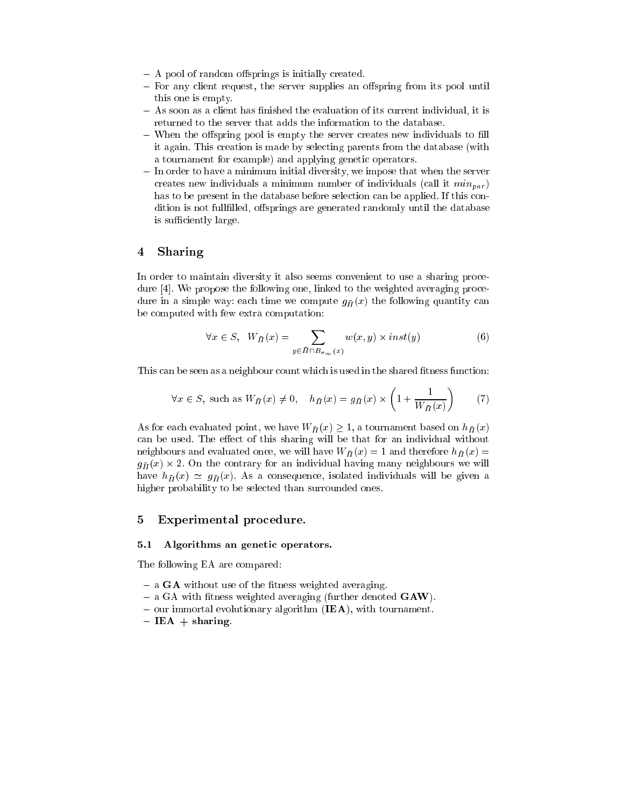- A pool of random offsprings is initially created.
- For any client request, the server supplies an offspring from its pool until this one is empty.
- As soon as a client has finished the evaluation of its current individual, it is returned to the server that adds the information to the database.
- When the offspring pool is empty the server creates new individuals to fill it again. This reation is made by sele
ting parents from the database (with a tournament for example) and applying geneti operators.
- ${\rm -}\;$  In order to have a minimum initial diversity, we impose that when the server creates new individuals a minimum number of individuals (call it  $min_{par}$ ) has to be present in the database before selection can be applied. If this condition is not fullfilled, offsprings are generated randomly until the database is sufficiently large.

#### 4 Sharing

In order to maintain diversity it also seems convenient to use a sharing procedure [4]. We propose the following one, linked to the weighted averaging procedure in a simple way: each time we compute  $g_{\bar{H}}(x)$  the following quantity can be omputed with few extra omputation:

$$
\forall x \in S, \quad W_{\bar{\Pi}}(x) = \sum_{y \in \bar{\Pi} \cap B_{\sigma_{\infty}}(x)} w(x, y) \times inst(y) \tag{6}
$$

This can be seen as a neighbour count which is used in the shared fitness function:

$$
\forall x \in S, \text{ such as } W_{\bar{\Pi}}(x) \neq 0, \quad h_{\bar{\Pi}}(x) = g_{\bar{\Pi}}(x) \times \left(1 + \frac{1}{W_{\bar{\Pi}}(x)}\right) \tag{7}
$$

As for each evaluated point, we have  $W_{\bar{n}}(x) \geq 1$ , a tournament based on  $h_{\bar{n}}(x)$ can be used. The effect of this sharing will be that for an individual without neighbours and evaluated once, we will have  $W_{\bar{\Pi}}(x) = 1$  and therefore  $h_{\bar{\Pi}}(x) =$  $\sigma_H$  (x) in an one-case for an individual many neighbours we will many neighbours will many have  $h_{\bar{H}}(x) \simeq g_{\bar{H}}(x)$ . As a consequence, isolated individuals will be given a higher probability to be sele
ted than surrounded ones.

#### 5 Experimental pro
edure.

#### 5.1 Algorithms an genetic operators.

The following EA are compared:

- $-$  a GA without use of the fitness weighted averaging.
- $-$  a GA with fitness weighted averaging (further denoted  $GAW$ ).
- ${\bf -}$  our immortal evolutionary algorithm (IEA), with tournament.
- $-$  IEA  $+$  sharing.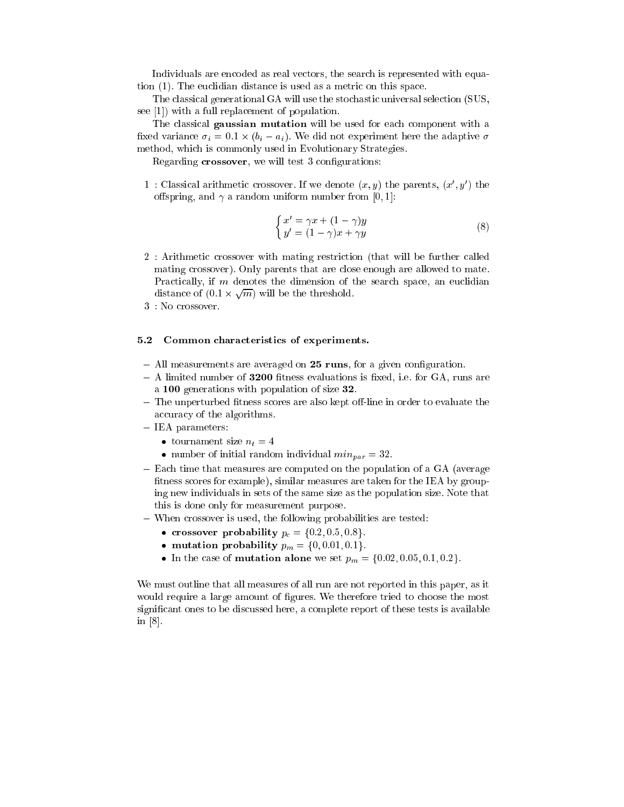Individuals are encoded as real vectors, the search is represented with equation (1). The eu
lidian distan
e is used as a metri on this spa
e.

The lassi
al generational GA will use the sto
hasti universal sele
tion (SUS, see  $[1]$ ) with a full replacement of population.

The classical gaussian mutation will be used for each component with a e i e i did not experiment here the adaptive formulation of the adaptive formulation of the adaptive formulation method, whi
h is ommonly used in Evolutionary Strategies.

Regarding crossover, we will test 3 configurations:

1 : Classical arithmetic crossover. If we denote  $(x, y)$  the parents,  $(x, y)$  the offspring, and  $\gamma$  a random uniform number from [0, 1]:

$$
\begin{cases}\nx' = \gamma x + (1 - \gamma)y \\
y' = (1 - \gamma)x + \gamma y\n\end{cases}
$$
\n(8)

- 2 : Arithmetic crossover with mating restriction (that will be further called mating crossover). Only parents that are close enough are allowed to mate. Practically, if m denotes the dimension of the search space, an euclidian distance of  $(0.1 \times \sqrt{m})$  will be the threshold.
- 3 : No rossover.

#### 5.2 Common hara
teristi
s of experiments.

- $-$  All measurements are averaged on 25 runs, for a given configuration.
- $-$  A limited number of 3200 fitness evaluations is fixed, i.e. for GA, runs are a 100 generations with population of size 32.
- The unperturbed fitness scores are also kept off-line in order to evaluate the accuracy of the algorithms.
- { IEA parameters:
	- to an extension size  $\cdots$  ,  $\cdots$
	- number of initial random individual minitial ministration  $\mu_{\rm B}$
- Each time that measures are computed on the population of a GA (average fitness scores for example), similar measures are taken for the IEA by grouping new individuals in sets of the same size as the population size. Note that this is done only for measurement purpose.
- When crossover is used, the following probabilities are tested:
	- rossover probability public program to the probability of the probability of the probability of the probabilit
	- mutation probability pm = f0; 0:01; 0:1g.
	- In the ase of mutation alone we set pm <sup>=</sup> f0:02; 0:05; 0:1; 0:2g.

We must outline that all measures of all run are not reported in this paper, as it would require a large amount of figures. We therefore tried to choose the most significant ones to be discussed here, a complete report of these tests is available in  $[8]$ .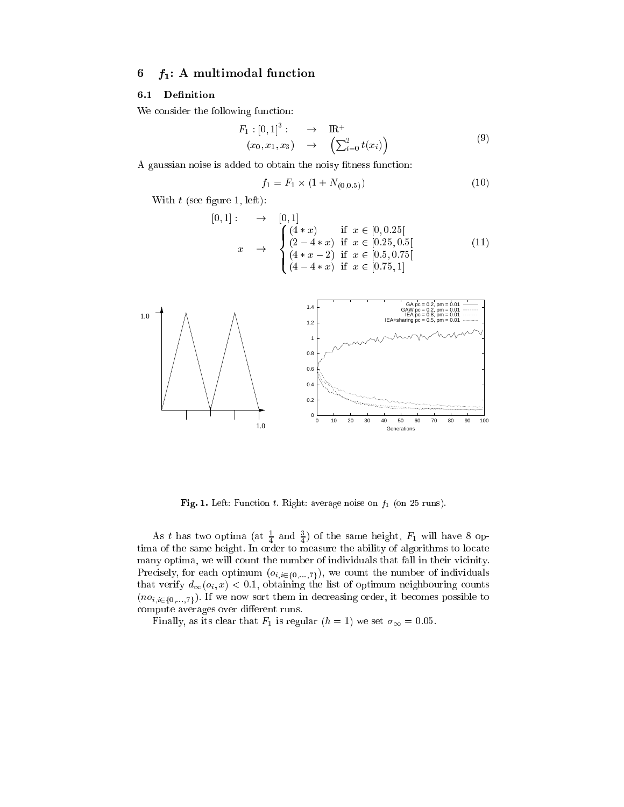# $6$   $f_1$ : A multimodal function

#### 6.1 Definition

We consider the following function:

$$
F_1: [0,1]^3: \rightarrow \mathbb{R}^+ (x_0, x_1, x_3) \rightarrow \left(\sum_{i=0}^2 t(x_i)\right)
$$
 (9)

A gaussian noise is added to obtain the noisy fitness function:

$$
f_1 = F_1 \times (1 + N_{(0,0.5)})
$$
\n<sup>(10)</sup>

With  $t$  (see figure 1, left):

$$
\begin{array}{ccccccccc}\n[0,1]: & \rightarrow & [0,1] \\
& & & & \\
& & & & \\
& & & & \\
& & & & \\
& & & & \\
& & & & \\
& & & & \\
& & & & \\
& & & & \\
& & & & \\
& & & & \\
& & & & \\
& & & & & \\
& & & & & \\
& & & & & \\
& & & & & \\
& & & & & & \\
& & & & & & \\
& & & & & & & \\
& & & & & & & \\
& & & & & & & & \\
& & & & & & & & & \\
& & & & & & & & & \\
& & & & & & & & & & \\
& & & & & & & & & & & \\
& & & & & & & & & & & \\
& & & & & & & & & & & & \\
& & & & & & & & & & & & \\
& & & & & & & & & & & & & \\
& & & & & & & & & & & & \\
& & & & & & & & & & & & & \\
& & & & & & & & & & & & & \\
& & & & & &
$$



Fig. 1. Left: Function  $t$ . Right: average noise on  $f_1$  (on 25 runs).

As t has two optima (at  $\frac{1}{4}$  and  $\frac{1}{4}$ ) of the same height,  $F_1$  will have 8 optima of the same height. In order to measure the ability of algorithms to locate many optima, we will count the number of individuals that fall in their vicinity. Precisely, for each optimum  $(o_{i,i \in \{0,\ldots,7\}})$ , we count the number of individuals that verify  $d_{\infty}(o_i, x) < 0.1$ , obtaining the list of optimum neighbouring counts  $(no_{i,i\in\{0,...,7\}})$ . If we now sort them in decreasing order, it becomes possible to compute averages over different runs.

Finally, as its lear that F1 is regular (h <sup>=</sup> 1) we set 1 <sup>=</sup> 0:05.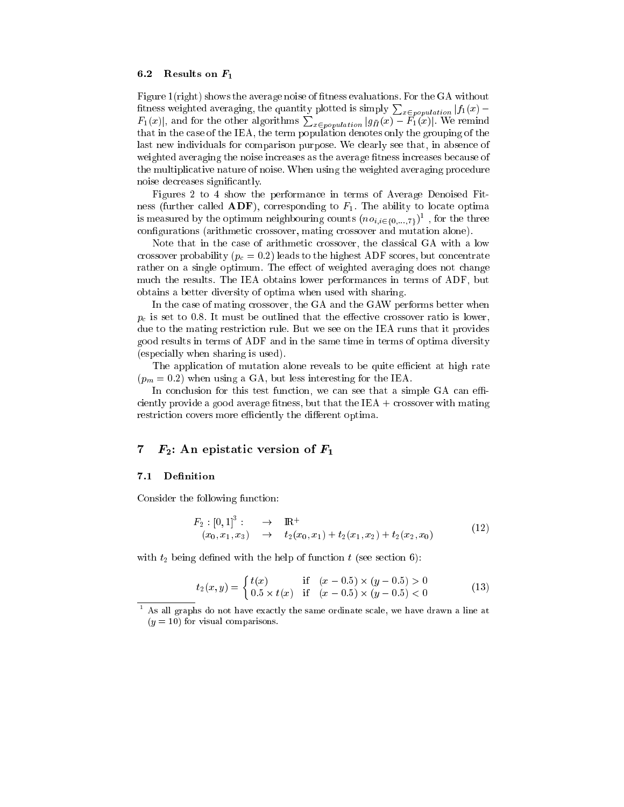#### 6.2 Results on  $F_1$

Figure 1 (right) shows the average noise of fitness evaluations. For the GA without fitness weighted averaging, the quantity plotted is simply  $\sum_{x \in population} |f_1(x) - F_1(x)|$ , and for the other algorithms  $\sum_{x \in population} |g_{\bar{H}}(x) - F_1(x)|$ . We remind that in the case of the IEA, the term population denotes only the grouping of the last new individuals for comparison purpose. We clearly see that, in absence of weighted averaging the noise increases as the average fitness increases because of the multiplicative nature of noise. When using the weighted averaging procedure noise decreases significantly.

Figures 2 to 4 show the performan
e in terms of Average Denoised Fitness (further called  $\text{ADF}$ ), corresponding to  $F_1$ . The ability to locate optima is measured by the optimum neighbouring counts  $(no_{i,i \in \{0,\ldots,7\}})$ , for the three configurations (arithmetic crossover, mating crossover and mutation alone).

Note that in the case of arithmetic crossover, the classical GA with a low crossover probability ( $p_c = 0.2$ ) leads to the highest ADF scores, but concentrate rather on a single optimum. The effect of weighted averaging does not change mu
h the results. The IEA obtains lower performan
es in terms of ADF, but obtains a better diversity of optima when used with sharing.

In the case of mating crossover, the GA and the GAW performs better when  $p_c$  is set to 0.8. It must be outlined that the effective crossover ratio is lower, due to the mating restriction rule. But we see on the IEA runs that it provides good results in terms of ADF and in the same time in terms of optima diversity (espe
ially when sharing is used).

The application of mutation alone reveals to be quite efficient at high rate  $(p_m = 0.2)$  when using a GA, but less interesting for the IEA.

In conclusion for this test function, we can see that a simple GA can efficiently provide a good average fitness, but that the  $IEA + c$  rossover with mating restriction covers more efficiently the different optima.

### 7  $F_2$ : An epistatic version of  $F_1$

#### 7.1 Definition

Consider the following function:

$$
F_2: [0,1]^3: \rightarrow \mathbb{R}^+ (x_0, x_1, x_3) \rightarrow t_2(x_0, x_1) + t_2(x_1, x_2) + t_2(x_2, x_0)
$$
 (12)

with the second determination that the function the function  $\mathcal{L}_1$ 

$$
t_2(x,y) = \begin{cases} t(x) & \text{if } (x - 0.5) \times (y - 0.5) > 0\\ 0.5 \times t(x) & \text{if } (x - 0.5) \times (y - 0.5) < 0 \end{cases}
$$
(13)

<sup>-</sup>As all graphs do not have exactly the same ordinate scale, we have drawn a line at  $(y = 10)$  for visual comparisons.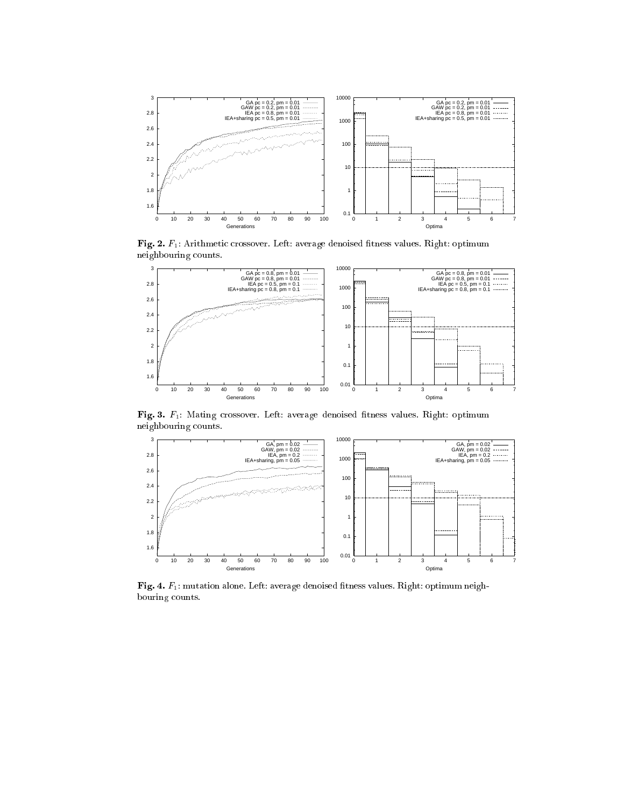

Fig. 2.  $F_1$ : Arithmetic crossover. Left: average denoised fitness values. Right: optimum neighbouring ounts.



Fig. 3.  $F_1$ : Mating crossover. Left: average denoised fitness values. Right: optimum neighbouring ounts.



Fig. 4.  $F_1$ : mutation alone. Left: average denoised fitness values. Right: optimum neighbouring ounts.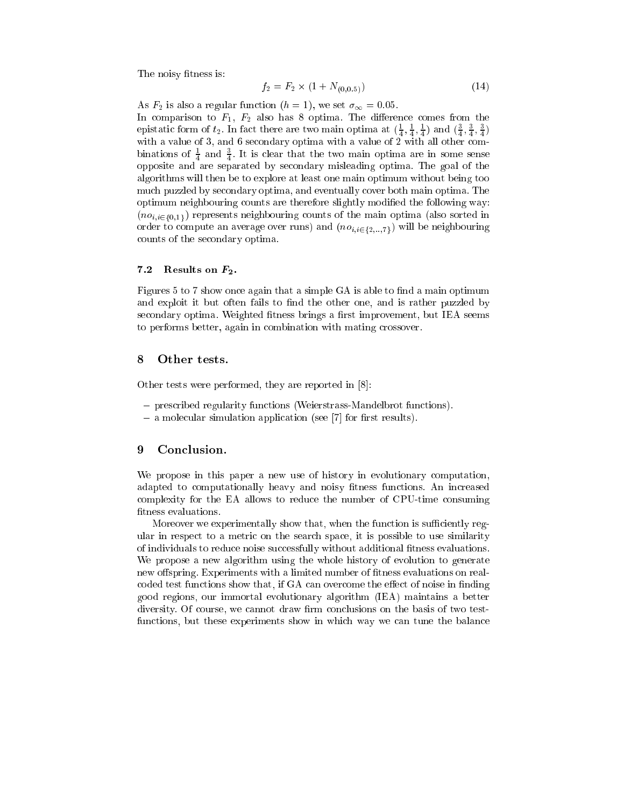The noisy fitness is:

$$
f_2 = F_2 \times (1 + N_{(0,0.5)}) \tag{14}
$$

As F2 is also <sup>a</sup> regular fun
tion (h <sup>=</sup> 1), we set 1 <sup>=</sup> 0:05.

In omparison to F1, F2 also has <sup>8</sup> optima. The dieren
e omes from the epistatic form of  $t_2$ . In fact there are two main optima at  $(\frac{1}{7}, \frac{1}{7}, \frac{1}{7})$  and  $(\frac{1}{7}, \frac{1}{7}, \frac{1}{7})$ with a value of 3, and 6 separate of 3, and 6 separate of 2 with a value of 2 with a value of 2 with a value o binations of  $\frac{1}{4}$  and  $\frac{1}{4}$ . It is clear that the two main optima are in some sense opposite and are separated by se
ondary misleading optima. The goal of the algorithms will then be to explore at least one main optimum without being too mu
h puzzled by se
ondary optima, and eventually over both main optima. The optimum neighbouring counts are therefore slightly modified the following way:  $(no_{i,i\in\{0,1\}})$  represents neighbouring counts of the main optima (also sorted in order to compute an average over runs) and  $(no_{i,i \in \{2,\ldots,7\}})$  will be neighbouring ounts of the se
ondary optima.

#### 7.2 Results on  $F_2$ .

Figures 5 to 7 show once again that a simple GA is able to find a main optimum and exploit it but often fails to find the other one, and is rather puzzled by secondary optima. Weighted fitness brings a first improvement, but IEA seems to performs better, again in ombination with mating rossover.

#### 8 Other tests.

Other tests were performed, they are reported in  $[8]$ :

- { pres
ribed regularity fun
tions (Weierstrass-Mandelbrot fun
tions).
- $-$  a molecular simulation application (see [7] for first results).

#### 9 Con
lusion.

We propose in this paper a new use of history in evolutionary computation, adapted to computationally heavy and noisy fitness functions. An increased omplexity for the EA allows to redu
e the number of CPU-time onsuming fitness evaluations.

Moreover we experimentally show that, when the function is sufficiently regular in respect to a metric on the search space, it is possible to use similarity of individuals to reduce noise successfully without additional fitness evaluations. We propose a new algorithm using the whole history of evolution to generate new offspring. Experiments with a limited number of fitness evaluations on realcoded test functions show that, if GA can overcome the effect of noise in finding good regions, our immortal evolutionary algorithm (IEA) maintains a better diversity. Of course, we cannot draw firm conclusions on the basis of two testfunctions, but these experiments show in which way we can tune the balance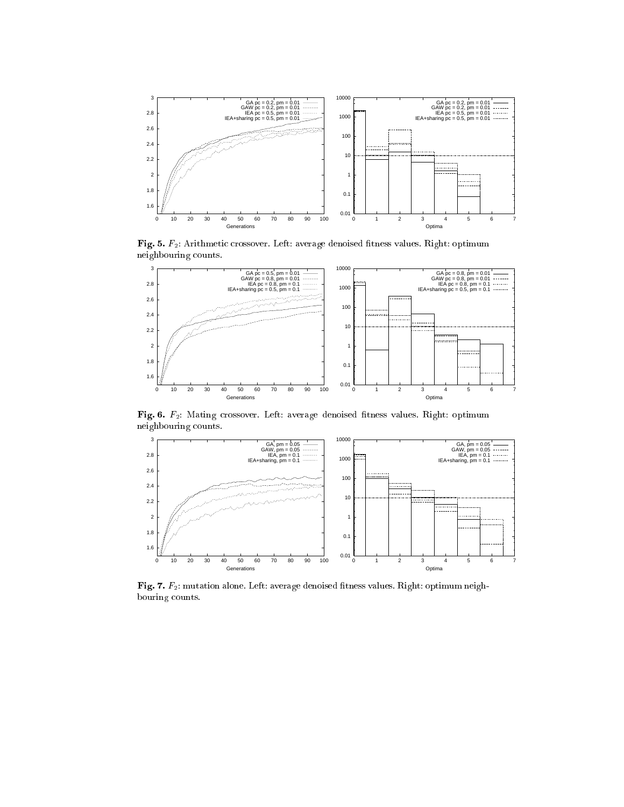

Fig. 5.  $F_2$ : Arithmetic crossover. Left: average denoised fitness values. Right: optimum neighbouring ounts.



Fig. 6. F<sub>2</sub>: Mating crossover. Left: average denoised fitness values. Right: optimum neighbouring ounts.



Fig. 7.  $F_2$ : mutation alone. Left: average denoised fitness values. Right: optimum neighbouring ounts.